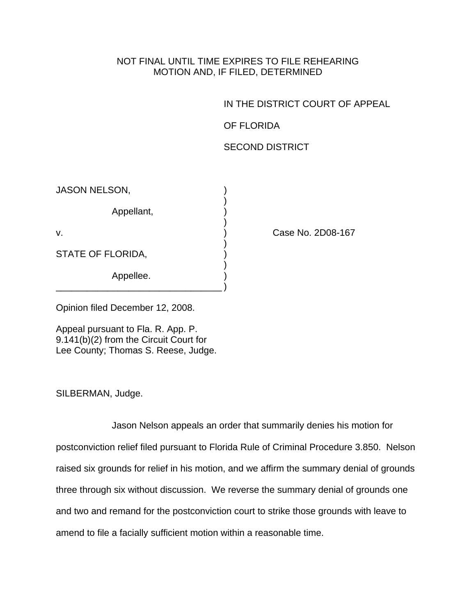## NOT FINAL UNTIL TIME EXPIRES TO FILE REHEARING MOTION AND, IF FILED, DETERMINED

IN THE DISTRICT COURT OF APPEAL

OF FLORIDA

SECOND DISTRICT

JASON NELSON,

 $)$ Appellant, )

 $)$ 

\_\_\_\_\_\_\_\_\_\_\_\_\_\_\_\_\_\_\_\_\_\_\_\_\_\_\_\_\_\_\_\_ )

 $)$ STATE OF FLORIDA,

 $)$ Appellee.

v. ) Case No. 2D08-167

Opinion filed December 12, 2008.

Appeal pursuant to Fla. R. App. P. 9.141(b)(2) from the Circuit Court for Lee County; Thomas S. Reese, Judge.

SILBERMAN, Judge.

 Jason Nelson appeals an order that summarily denies his motion for postconviction relief filed pursuant to Florida Rule of Criminal Procedure 3.850. Nelson raised six grounds for relief in his motion, and we affirm the summary denial of grounds three through six without discussion. We reverse the summary denial of grounds one and two and remand for the postconviction court to strike those grounds with leave to amend to file a facially sufficient motion within a reasonable time.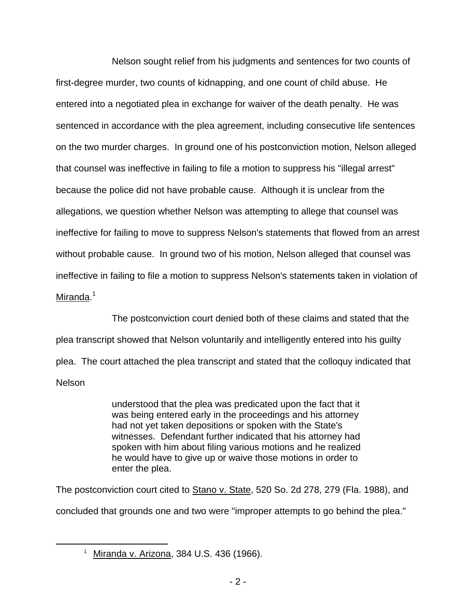Nelson sought relief from his judgments and sentences for two counts of first-degree murder, two counts of kidnapping, and one count of child abuse. He entered into a negotiated plea in exchange for waiver of the death penalty. He was sentenced in accordance with the plea agreement, including consecutive life sentences on the two murder charges. In ground one of his postconviction motion, Nelson alleged that counsel was ineffective in failing to file a motion to suppress his "illegal arrest" because the police did not have probable cause. Although it is unclear from the allegations, we question whether Nelson was attempting to allege that counsel was ineffective for failing to move to suppress Nelson's statements that flowed from an arrest without probable cause. In ground two of his motion, Nelson alleged that counsel was ineffective in failing to file a motion to suppress Nelson's statements taken in violation of Miranda.<sup>1</sup>

 The postconviction court denied both of these claims and stated that the plea transcript showed that Nelson voluntarily and intelligently entered into his guilty plea. The court attached the plea transcript and stated that the colloquy indicated that Nelson

> understood that the plea was predicated upon the fact that it was being entered early in the proceedings and his attorney had not yet taken depositions or spoken with the State's witnesses. Defendant further indicated that his attorney had spoken with him about filing various motions and he realized he would have to give up or waive those motions in order to enter the plea.

The postconviction court cited to Stano v. State, 520 So. 2d 278, 279 (Fla. 1988), and concluded that grounds one and two were "improper attempts to go behind the plea."

 $\overline{\phantom{a}}$  1  $1$  Miranda v. Arizona, 384 U.S. 436 (1966).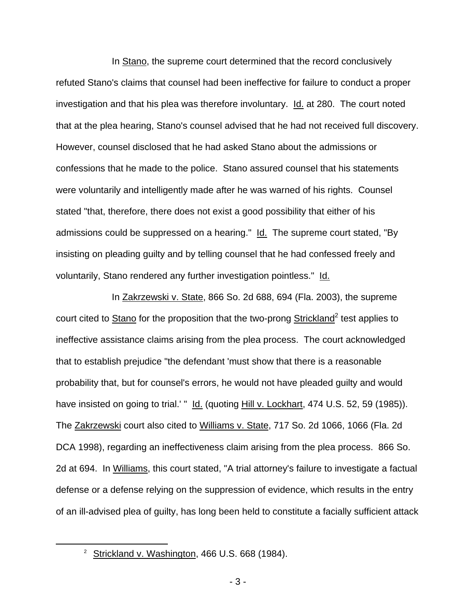In Stano, the supreme court determined that the record conclusively refuted Stano's claims that counsel had been ineffective for failure to conduct a proper investigation and that his plea was therefore involuntary. Id. at 280. The court noted that at the plea hearing, Stano's counsel advised that he had not received full discovery. However, counsel disclosed that he had asked Stano about the admissions or confessions that he made to the police. Stano assured counsel that his statements were voluntarily and intelligently made after he was warned of his rights. Counsel stated "that, therefore, there does not exist a good possibility that either of his admissions could be suppressed on a hearing." Id. The supreme court stated, "By insisting on pleading guilty and by telling counsel that he had confessed freely and voluntarily, Stano rendered any further investigation pointless." Id.

 In Zakrzewski v. State, 866 So. 2d 688, 694 (Fla. 2003), the supreme court cited to **Stano** for the proposition that the two-prong **Strickland**<sup>2</sup> test applies to ineffective assistance claims arising from the plea process. The court acknowledged that to establish prejudice "the defendant 'must show that there is a reasonable probability that, but for counsel's errors, he would not have pleaded guilty and would have insisted on going to trial.' " Id. (quoting Hill v. Lockhart, 474 U.S. 52, 59 (1985)). The Zakrzewski court also cited to Williams v. State, 717 So. 2d 1066, 1066 (Fla. 2d DCA 1998), regarding an ineffectiveness claim arising from the plea process. 866 So. 2d at 694. In Williams, this court stated, "A trial attorney's failure to investigate a factual defense or a defense relying on the suppression of evidence, which results in the entry of an ill-advised plea of guilty, has long been held to constitute a facially sufficient attack

 $\overline{\phantom{a}}$  2 <sup>2</sup> Strickland v. Washington, 466 U.S. 668 (1984).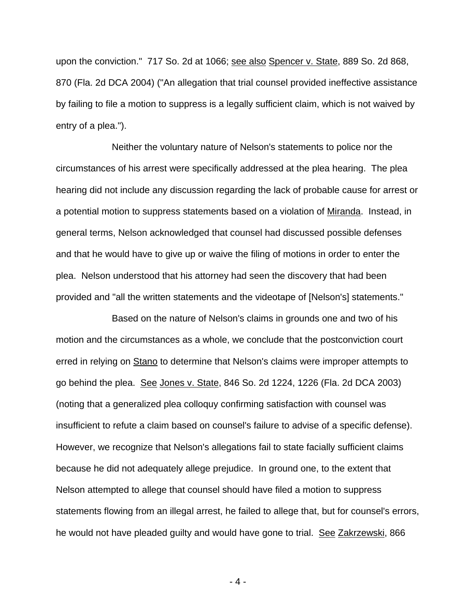upon the conviction." 717 So. 2d at 1066; see also Spencer v. State, 889 So. 2d 868, 870 (Fla. 2d DCA 2004) ("An allegation that trial counsel provided ineffective assistance by failing to file a motion to suppress is a legally sufficient claim, which is not waived by entry of a plea.").

 Neither the voluntary nature of Nelson's statements to police nor the circumstances of his arrest were specifically addressed at the plea hearing. The plea hearing did not include any discussion regarding the lack of probable cause for arrest or a potential motion to suppress statements based on a violation of Miranda. Instead, in general terms, Nelson acknowledged that counsel had discussed possible defenses and that he would have to give up or waive the filing of motions in order to enter the plea. Nelson understood that his attorney had seen the discovery that had been provided and "all the written statements and the videotape of [Nelson's] statements."

 Based on the nature of Nelson's claims in grounds one and two of his motion and the circumstances as a whole, we conclude that the postconviction court erred in relying on **Stano** to determine that Nelson's claims were improper attempts to go behind the plea. See Jones v. State, 846 So. 2d 1224, 1226 (Fla. 2d DCA 2003) (noting that a generalized plea colloquy confirming satisfaction with counsel was insufficient to refute a claim based on counsel's failure to advise of a specific defense). However, we recognize that Nelson's allegations fail to state facially sufficient claims because he did not adequately allege prejudice. In ground one, to the extent that Nelson attempted to allege that counsel should have filed a motion to suppress statements flowing from an illegal arrest, he failed to allege that, but for counsel's errors, he would not have pleaded guilty and would have gone to trial. See Zakrzewski, 866

- 4 -